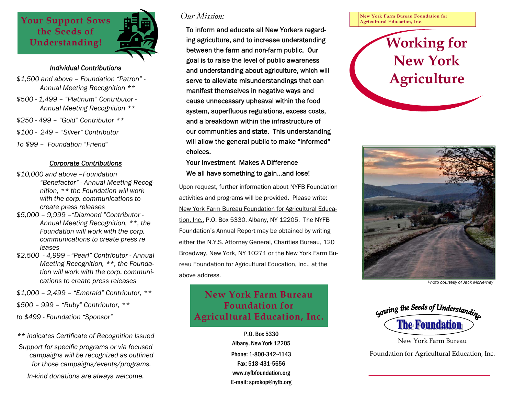

### *Individual Contributions*

- *\$1,500 and above Foundation "Patron" Annual Meeting Recognition \*\**
- *\$500 1,499 "Platinum" Contributor Annual Meeting Recognition \*\**
- *\$250 499 "Gold" Contributor \*\**
- *\$100 249 "Silver" Contributor*
- *To \$99 Foundation "Friend"*

#### *Corporate Contributions*

- *\$10,000 and above –Foundation "Benefactor" - Annual Meeting Recog nition, \*\* the Foundation will work with the corp. communications to create press releases*
- *\$5,000 9,999 –"Diamond "Contributor Annual Meeting Recognition, \*\*, the Foundation will work with the corp. communications to create press re leases*
- *\$2,500 4,999 –"Pearl" Contributor Annual Meeting Recognition, \*\*, the Founda tion will work with the corp. communi cations to create press releases*
- *\$1,000 2,499 "Emerald" Contributor, \*\**
- *\$500 999 "Ruby" Contributor, \*\**

*to \$499 - Foundation "Sponsor"* 

- *\*\* indicates Certificate of Recognition Issued*
- *Support for specific programs or via focused campaigns will be recognized as outlined for those campaigns/events/programs.*

*In-kind donations are always welcome.* 

### *Our Mission:*

To inform and educate all New Yorkers regarding agriculture, and to increase understanding between the farm and non-farm public. Our goal is to raise the level of public awareness and understanding about agriculture, which will serve to alleviate misunderstandings that can manifest themselves in negative ways and cause unnecessary upheaval within the food system, superfluous regulations, excess costs, and a breakdown within the infrastructure of our communities and state. This understanding will allow the general public to make "informed" choices.

### Your Investment Makes A Difference We all have something to gain…and lose!

Upon request, further information about NYFB Foundation activities and programs will be provided. Please write: New York Farm Bureau Foundation for Agricultural Education, Inc., P.O. Box 5330, Albany, NY 12205. The NYFB Foundation's Annual Report may be obtained by writing either the N.Y.S. Attorney General, Charities Bureau, 120 Broadway, New York, NY 10271 or the New York Farm Bureau Foundation for Agricultural Education, Inc., at the above address.

## **New York Farm Bureau Foundation for Agricultural Education, Inc.**

P.O. Box 5330 Albany, New York 12205 Phone: 1-800-342-4143 Fax: 518-431-5656 www.nyfbfoundation.org E-mail: sprokop@nyfb.org **New York Farm Bureau Foundation for Agricultural Education, Inc.** 

# **Working for New York Agriculture**



*Photo courtesy of Jack McNerney* 



Foundation for Agricultural Education, Inc.